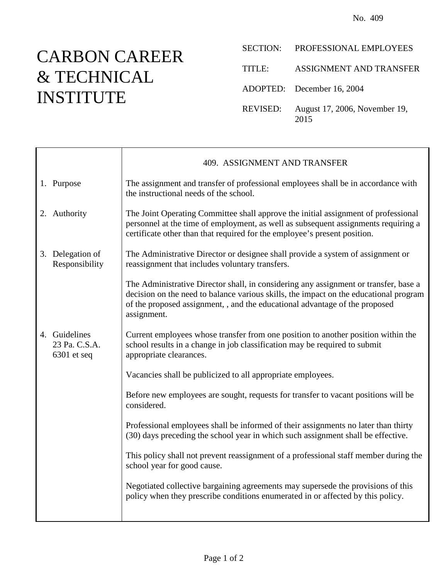## CARBON CAREER & TECHNICAL INSTITUTE

г

| <b>SECTION:</b> | PROFESSIONAL EMPLOYEES                |
|-----------------|---------------------------------------|
| TITLE:          | ASSIGNMENT AND TRANSFER               |
|                 | ADOPTED: December 16, 2004            |
| REVISED:        | August 17, 2006, November 19,<br>2015 |

|                                                 | 409. ASSIGNMENT AND TRANSFER                                                                                                                                                                                                                                                |
|-------------------------------------------------|-----------------------------------------------------------------------------------------------------------------------------------------------------------------------------------------------------------------------------------------------------------------------------|
| 1. Purpose                                      | The assignment and transfer of professional employees shall be in accordance with<br>the instructional needs of the school.                                                                                                                                                 |
| 2. Authority                                    | The Joint Operating Committee shall approve the initial assignment of professional<br>personnel at the time of employment, as well as subsequent assignments requiring a<br>certificate other than that required for the employee's present position.                       |
| 3. Delegation of<br>Responsibility              | The Administrative Director or designee shall provide a system of assignment or<br>reassignment that includes voluntary transfers.                                                                                                                                          |
|                                                 | The Administrative Director shall, in considering any assignment or transfer, base a<br>decision on the need to balance various skills, the impact on the educational program<br>of the proposed assignment, , and the educational advantage of the proposed<br>assignment. |
| 4. Guidelines<br>23 Pa. C.S.A.<br>$6301$ et seq | Current employees whose transfer from one position to another position within the<br>school results in a change in job classification may be required to submit<br>appropriate clearances.                                                                                  |
|                                                 | Vacancies shall be publicized to all appropriate employees.                                                                                                                                                                                                                 |
|                                                 | Before new employees are sought, requests for transfer to vacant positions will be<br>considered.                                                                                                                                                                           |
|                                                 | Professional employees shall be informed of their assignments no later than thirty<br>(30) days preceding the school year in which such assignment shall be effective.                                                                                                      |
|                                                 | This policy shall not prevent reassignment of a professional staff member during the<br>school year for good cause.                                                                                                                                                         |
|                                                 | Negotiated collective bargaining agreements may supersede the provisions of this<br>policy when they prescribe conditions enumerated in or affected by this policy.                                                                                                         |
|                                                 |                                                                                                                                                                                                                                                                             |